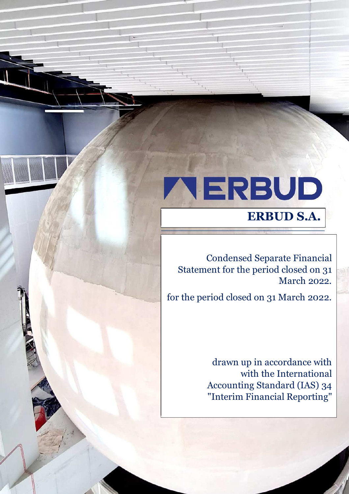# **ALERBUD**

Separate Financial Statement as of 31 December 2021 *('000 PLN, unless specified otherwise)*

# **ERBUD S.A.**

Condensed Separate Financial Statement for the period closed on 31 March 2022.

for the period closed on 31 March 2022.

drawn up in accordance with with the International Accounting Standard (IAS) 34 "Interim Financial Reporting"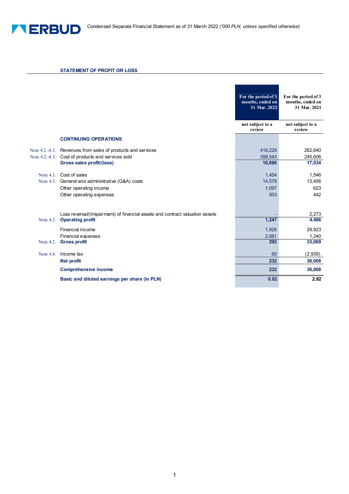

### **STATEMENT OF PROFIT OR LOSS**

|              |                                                                              | For the period of 3<br>months, ended on<br>31 Mar. 2022 | For the period of 3<br>months, ended on<br>31 Mar. 2021 |
|--------------|------------------------------------------------------------------------------|---------------------------------------------------------|---------------------------------------------------------|
|              |                                                                              | not subject to a<br>review                              | not subject to a<br>review                              |
|              | <b>CONTINUING OPERATIONS</b>                                                 |                                                         |                                                         |
|              | Note 4.2.-4.3. Revenues from sales of products and services                  | 416,229                                                 | 262,640                                                 |
|              | Note 4.2.-4.3. Cost of products and services sold                            | 399,543                                                 | 245,606                                                 |
|              | Gross sales profit/(loss)                                                    | 16,686                                                  | 17,034                                                  |
|              | Note 4.3. Cost of sales                                                      | 1,454                                                   | 1,546                                                   |
|              | Note 4.3. General and administrative (G&A) costs                             | 14,579                                                  | 13,456                                                  |
|              | Other operating income                                                       | 1,097                                                   | 623                                                     |
|              | Other operating expenses                                                     | 503                                                     | 442                                                     |
|              |                                                                              |                                                         |                                                         |
|              | Loss reversal/(impairment) of financial assets and contract valuation assets |                                                         | 2,273                                                   |
| Note $4.2$ . | <b>Operating profit</b>                                                      | 1,247                                                   | 4,486                                                   |
|              | Financial income                                                             | 1,926                                                   | 29,923                                                  |
|              | Financial expenses                                                           | 2,881                                                   | 1,340                                                   |
|              | Note 4.2. Gross profit                                                       | 292                                                     | 33,069                                                  |
| Note $4.4$ . | Income tax                                                                   | 60                                                      | (2,939).                                                |
|              | <b>Net profit</b>                                                            | 232                                                     | 36,008                                                  |
|              | <b>Comprehensive income</b>                                                  | 232                                                     | 36,008                                                  |
|              | Basic and diluted earnings per share (in PLN)                                | 0.02                                                    | 2.82                                                    |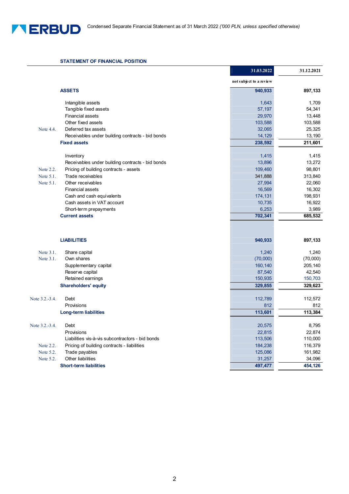

### **STATEMENT OF FINANCIAL POSITION**

|                |                                                  | 31.03.2022              | 31.12.2021 |
|----------------|--------------------------------------------------|-------------------------|------------|
|                |                                                  | not subject to a review |            |
|                | <b>ASSETS</b>                                    | 940,933                 | 897,133    |
|                | Intangible assets                                | 1,643                   | 1,709      |
|                | Tangible fixed assets                            | 57,197                  | 54,341     |
|                | <b>Financial assets</b>                          | 29,970                  | 13,448     |
|                | Other fixed assets                               | 103,588                 | 103,588    |
| Note 4.4.      | Deferred tax assets                              | 32,065                  | 25,325     |
|                | Receivables under building contracts - bid bonds | 14,129                  | 13,190     |
|                | <b>Fixed assets</b>                              | 238,592                 | 211,601    |
|                | Inventory                                        | 1,415                   | 1,415      |
|                | Receivables under building contracts - bid bonds | 13,896                  | 13,272     |
| Note 2.2.      | Pricing of building contracts - assets           | 109,460                 | 98,801     |
| Note 5.1.      | Trade receivables                                | 341,888                 | 313,840    |
| Note 5.1.      | Other receivables                                | 27,994                  | 22,060     |
|                | Financial assets                                 | 16,569                  | 16,302     |
|                | Cash and cash equivalents                        | 174,131                 | 198,931    |
|                | Cash assets in VAT account                       | 10,735                  | 16,922     |
|                | Short-term prepayments                           | 6,253                   | 3,989      |
|                | <b>Current assets</b>                            | 702,341                 | 685,532    |
|                | <b>LIABILITIES</b>                               | 940,933                 | 897,133    |
| Note 3.1.      | Share capital                                    | 1,240                   | 1,240      |
| Note 3.1.      | Own shares                                       | (70,000)                | (70,000)   |
|                | Supplementary capital                            | 160,140                 | 205,140    |
|                | Reserve capital                                  | 87,540                  | 42,540     |
|                | Retained earnings                                | 150,935                 | 150,703    |
|                | <b>Shareholders' equity</b>                      | 329,855                 | 329,623    |
| Note 3.2.-3.4. | Debt                                             | 112,789                 | 112,572    |
|                | Provisions                                       | 812                     | 812        |
|                | <b>Long-term liabilities</b>                     | 113,601                 | 113,384    |
| Note 3.2.-3.4. | Debt                                             | 20,575                  | 8,795      |
|                | Provisions                                       | 22,815                  | 22,874     |
|                | Liabilities vis-à-vis subcontractors - bid bonds | 113,506                 | 110,000    |
| Note 2.2.      | Pricing of building contracts - liabilities      | 184,238                 | 116,379    |
| Note 5.2.      | Trade payables                                   | 125,086                 | 161,982    |
| Note 5.2.      | Other liabilities                                | 31,257                  | 34,096     |
|                | <b>Short-term liabilities</b>                    | 497,477                 | 454,126    |
|                |                                                  |                         |            |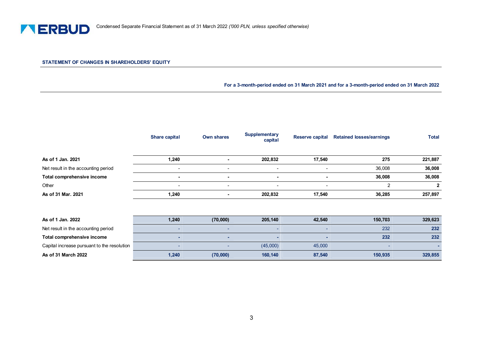

### **STATEMENT OF CHANGES IN SHAREHOLDERS' EQUITY**

**For a 3-month-period ended on 31 March 2021 and for a 3-month-period ended on 31 March 2022**

|                                     | <b>Share capital</b>     | <b>Own shares</b> | <b>Supplementary</b><br>capital | <b>Reserve capital</b>   | <b>Retained losses/earnings</b> | <b>Total</b> |
|-------------------------------------|--------------------------|-------------------|---------------------------------|--------------------------|---------------------------------|--------------|
| As of 1 Jan. 2021                   | 1,240                    |                   | 202,832                         | 17,540                   | 275                             | 221,887      |
| Net result in the accounting period | $\overline{\phantom{a}}$ | ٠                 | ٠                               | $\overline{\phantom{a}}$ | 36,008                          | 36,008       |
| Total comprehensive income          | $\blacksquare$           | ۰                 | $\sim$                          | $\overline{\phantom{a}}$ | 36,008                          | 36,008       |
| Other                               | $\overline{\phantom{a}}$ | ۰.                | $\overline{\phantom{a}}$        | ۰.                       |                                 | 2            |
| As of 31 Mar. 2021                  | 1,240                    |                   | 202,832                         | 17,540                   | 36,285                          | 257,897      |
|                                     |                          |                   |                                 |                          |                                 |              |
|                                     |                          |                   |                                 |                          |                                 |              |

| As of 1 Jan. 2022                           | 1,240 | (70,000) | 205.140  | 42.540 | 150.703 | 329,623 |
|---------------------------------------------|-------|----------|----------|--------|---------|---------|
| Net result in the accounting period         |       |          |          |        | 232     | 232     |
| Total comprehensive income                  |       |          |          |        | 232     | 232     |
| Capital increase pursuant to the resolution |       |          | (45,000) | 45,000 |         |         |
| As of 31 March 2022                         | 1,240 | (70,000) | 160,140  | 87,540 | 150,935 | 329,855 |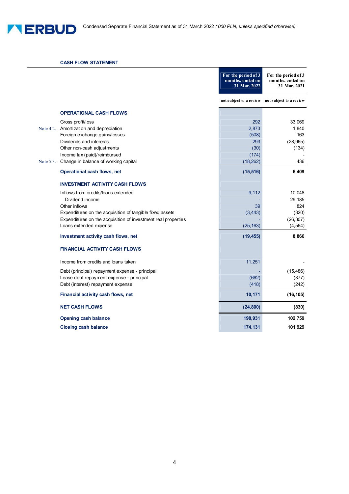### **CASH FLOW STATEMENT**

|           |                                                               | For the period of 3<br>months, ended on<br>31 Mar. 2022 | For the period of 3<br>months, ended on<br>31 Mar. 2021 |
|-----------|---------------------------------------------------------------|---------------------------------------------------------|---------------------------------------------------------|
|           |                                                               |                                                         | not subject to a review not subject to a review         |
|           | <b>OPERATIONAL CASH FLOWS</b>                                 |                                                         |                                                         |
|           | Gross profit/loss                                             | 292                                                     | 33,069                                                  |
|           | Note 4.2. Amortization and depreciation                       | 2,873                                                   | 1,840                                                   |
|           | Foreign exchange gains/losses                                 | (508)                                                   | 163                                                     |
|           | Dividends and interests                                       | 293                                                     | (28, 965)                                               |
|           | Other non-cash adjustments                                    | (30)                                                    | (134)                                                   |
|           | Income tax (paid)/reimbursed                                  | (174)                                                   |                                                         |
| Note 5.3. | Change in balance of working capital                          | (18, 262)                                               | 436                                                     |
|           | <b>Operational cash flows, net</b>                            | (15, 516)                                               | 6,409                                                   |
|           | <b>INVESTMENT ACTIVITY CASH FLOWS</b>                         |                                                         |                                                         |
|           | Inflows from credits/loans extended                           | 9,112                                                   | 10,048                                                  |
|           | Dividend income                                               |                                                         | 29,185                                                  |
|           | Other inflows                                                 | 39                                                      | 824                                                     |
|           | Expenditures on the acquisition of tangible fixed assets      | (3, 443)                                                | (320)                                                   |
|           | Expenditures on the acquisition of investment real properties |                                                         | (26, 307)                                               |
|           | Loans extended expense                                        | (25, 163)                                               | (4, 564)                                                |
|           | Investment activity cash flows, net                           | (19, 455)                                               | 8,866                                                   |
|           | <b>FINANCIAL ACTIVITY CASH FLOWS</b>                          |                                                         |                                                         |
|           | Income from credits and loans taken                           | 11,251                                                  |                                                         |
|           | Debt (principal) repayment expense - principal                |                                                         | (15, 486)                                               |
|           | Lease debt repayment expense - principal                      | (662)                                                   | (377)                                                   |
|           | Debt (interest) repayment expense                             | (418)                                                   | (242)                                                   |
|           | Financial activity cash flows, net                            | 10,171                                                  | (16, 105)                                               |
|           | <b>NET CASH FLOWS</b>                                         | (24, 800)                                               | (830)                                                   |
|           | <b>Opening cash balance</b>                                   | 198,931                                                 | 102,759                                                 |
|           | <b>Closing cash balance</b>                                   | 174,131                                                 | 101,929                                                 |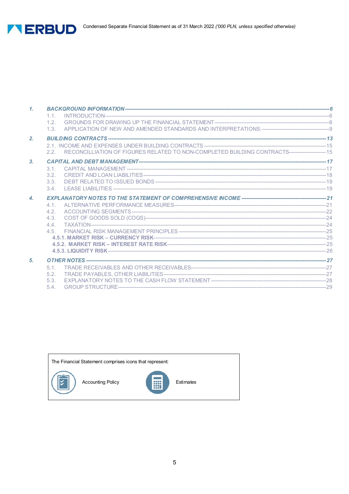

| $\mathcal{I}$ .    |                                                                                                      |  |
|--------------------|------------------------------------------------------------------------------------------------------|--|
|                    | 1.1.                                                                                                 |  |
|                    | 1.2.                                                                                                 |  |
|                    | 1.3                                                                                                  |  |
| 2.                 |                                                                                                      |  |
|                    |                                                                                                      |  |
|                    | 2.2. RECONCILLIATION OF FIGURES RELATED TO NON-COMPLETED BUILDING CONTRACTS---------------------- 15 |  |
| 3.                 |                                                                                                      |  |
|                    | 3.1.                                                                                                 |  |
|                    | 3.2.                                                                                                 |  |
|                    | 3.3                                                                                                  |  |
|                    | 3.4                                                                                                  |  |
| $\boldsymbol{A}$ . |                                                                                                      |  |
|                    | 4.1                                                                                                  |  |
|                    | 4.2.                                                                                                 |  |
|                    | 4.3.                                                                                                 |  |
|                    | 4.4                                                                                                  |  |
|                    |                                                                                                      |  |
|                    |                                                                                                      |  |
|                    |                                                                                                      |  |
|                    |                                                                                                      |  |
| 5.                 |                                                                                                      |  |
|                    | $5.1 -$                                                                                              |  |
|                    | 5.2 <sub>1</sub>                                                                                     |  |
|                    | 5.3.                                                                                                 |  |
|                    | 5.4.                                                                                                 |  |

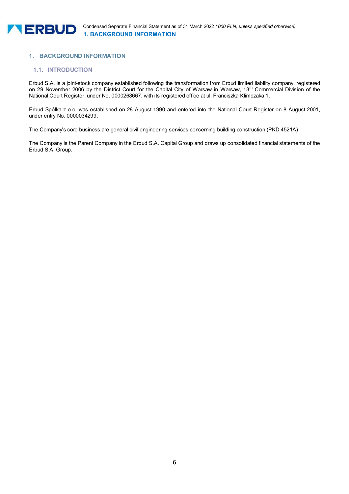# **1. BACKGROUND INFORMATION**

# **1.1. INTRODUCTION**

Erbud S.A. is a joint-stock company established following the transformation from Erbud limited liability company, registered on 29 November 2006 by the District Court for the Capital City of Warsaw in Warsaw, 13<sup>th</sup> Commercial Division of the National Court Register, under No. 0000268667, with its registered office at ul. Franciszka Klimczaka 1.

Erbud Spółka z o.o. was established on 28 August 1990 and entered into the National Court Register on 8 August 2001, under entry No. 0000034299.

The Company's core business are general civil engineering services concerning building construction (PKD 4521A)

The Company is the Parent Company in the Erbud S.A. Capital Group and draws up consolidated financial statements of the Erbud S.A. Group.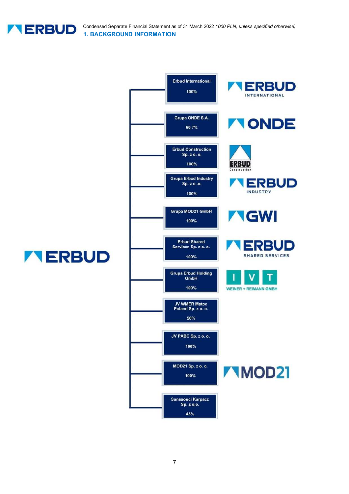

Condensed Separate Financial Statement as of 31 March 2022 *('000 PLN, unless specified otherwise)* **1. BACKGROUND INFORMATION** 

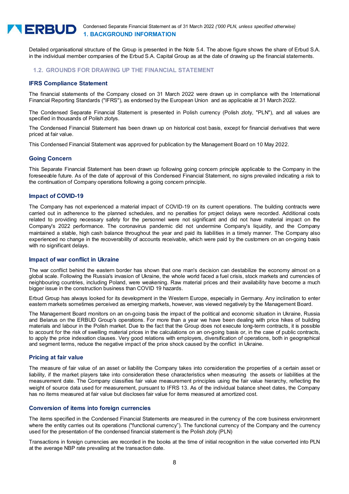

Detailed organisational structure of the Group is presented in the Note 5.4. The above figure shows the share of Erbud S.A. in the individual member companies of the Erbud S.A. Capital Group as at the date of drawing up the financial statements.

### **1.2. GROUNDS FOR DRAWING UP THE FINANCIAL STATEMENT**

### **IFRS Compliance Statement**

The financial statements of the Company closed on 31 March 2022 were drawn up in compliance with the International Financial Reporting Standards ("IFRS"), as endorsed by the European Union and as applicable at 31 March 2022.

The Condensed Separate Financial Statement is presented in Polish currency (Polish zloty, "PLN"), and all values are specified in thousands of Polish zlotys.

The Condensed Financial Statement has been drawn up on historical cost basis, except for financial derivatives that were priced at fair value.

This Condensed Financial Statement was approved for publication by the Management Board on 10 May 2022.

### **Going Concern**

This Separate Financial Statement has been drawn up following going concern principle applicable to the Company in the foreseeable future. As of the date of approval of this Condensed Financial Statement, no signs prevailed indicating a risk to the continuation of Company operations following a going concern principle.

### **Impact of COVID-19**

The Company has not experienced a material impact of COVID-19 on its current operations. The building contracts were carried out in adherence to the planned schedules, and no penalties for project delays were recorded. Additional costs related to providing necessary safety for the personnel were not significant and did not have material impact on the Company's 2022 performance. The coronavirus pandemic did not undermine Company's liquidity, and the Company maintained a stable, high cash balance throughout the year and paid its liabilities in a timely manner. The Company also experienced no change in the recoverability of accounts receivable, which were paid by the customers on an on-going basis with no significant delays.

### **Impact of war conflict in Ukraine**

The war conflict behind the eastern border has shown that one man's decision can destabilize the economy almost on a global scale. Following the Russia's invasion of Ukraine, the whole world faced a fuel crisis, stock markets and currencies of neighbouring countries, including Poland, were weakening. Raw material prices and their availability have become a much bigger issue in the construction business than COVID 19 hazards.

Erbud Group has always looked for its development in the Western Europe, especially in Germany. Any inclination to enter eastern markets sometimes perceived as emerging markets, however, was viewed negatively by the Management Board.

The Management Board monitors on an on-going basis the impact of the political and economic situation in Ukraine, Russia and Belarus on the ERBUD Group's operations. For more than a year we have been dealing with price hikes of building materials and labour in the Polish market. Due to the fact that the Group does not execute long-term contracts, it is possible to account for the risk of swelling material prices in the calculations on an on-going basis or, in the case of public contracts, to apply the price indexation clauses. Very good relations with employers, diversification of operations, both in geographical and segment terms, reduce the negative impact of the price shock caused by the conflict in Ukraine.

### **Pricing at fair value**

The measure of fair value of an asset or liability the Company takes into consideration the properties of a certain asset or liability, if the market players take into consideration these characteristics when measuring the assets or liabilities at the measurement date. The Company classifies fair value measurement principles using the fair value hierarchy, reflecting the weight of source data used for measurement, pursuant to IFRS 13. As of the individual balance sheet dates, the Company has no items measured at fair value but discloses fair value for items measured at amortized cost.

### **Conversion of items into foreign currencies**

The items specified in the Condensed Financial Statements are measured in the currency of the core business environment where the entity carries out its operations ("functional currency"). The functional currency of the Company and the currency used for the presentation of the condensed financial statement is the Polish zloty (PLN)

Transactions in foreign currencies are recorded in the books at the time of initial recognition in the value converted into PLN at the average NBP rate prevailing at the transaction date.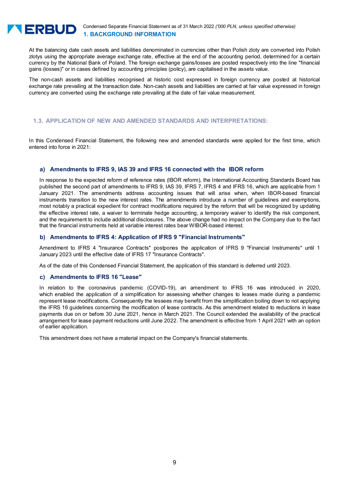

At the balancing date cash assets and liabilities denominated in currencies other than Polish zloty are converted into Polish zlotys using the appropriate average exchange rate, effective at the end of the accounting period, determined for a certain currency by the National Bank of Poland. The foreign exchange gains/losses are posted respectively into the line "financial gains (losses)" or in cases defined by accounting principles (policy), are capitalised in the assets value.

The non-cash assets and liabilities recognised at historic cost expressed in foreign currency are posted at historical exchange rate prevailing at the transaction date. Non-cash assets and liabilities are carried at fair value expressed in foreign currency are converted using the exchange rate prevailing at the date of fair value measurement.

# **1.3. APPLICATION OF NEW AND AMENDED STANDARDS AND INTERPRETATIONS:**

In this Condensed Financial Statement, the following new and amended standards were applied for the first time, which entered into force in 2021:

### **a) Amendments to IFRS 9, IAS 39 and IFRS 16 connected with the IBOR reform**

In response to the expected reform of reference rates (IBOR reform), the International Accounting Standards Board has published the second part of amendments to IFRS 9, IAS 39, IFRS 7, IFRS 4 and IFRS 16, which are applicable from 1 January 2021. The amendments address accounting issues that will arise when, when IBOR-based financial instruments transition to the new interest rates. The amendments introduce a number of guidelines and exemptions, most notably a practical expedient for contract modifications required by the reform that will be recognized by updating the effective interest rate, a waiver to terminate hedge accounting, a temporary waiver to identify the risk component, and the requirement to include additional disclosures. The above change had no impact on the Company due to the fact that the financial instruments held at variable interest rates bear WIBOR-based interest.

### **b) Amendments to IFRS 4: Application of IFRS 9 "Financial Instruments"**

Amendment to IFRS 4 "Insurance Contracts" postpones the application of IFRS 9 "Financial Instruments" until 1 January 2023 until the effective date of IFRS 17 "Insurance Contracts".

As of the date of this Condensed Financial Statement, the application of this standard is deferred until 2023.

### **c) Amendments to IFRS 16 "Lease"**

In relation to the coronavirus pandemic (COVID-19), an amendment to IFRS 16 was introduced in 2020, which enabled the application of a simplification for assessing whether changes to leases made during a pandemic represent lease modifications. Consequently the lessees may benefit from the simplification boiling down to not applying the IFRS 16 guidelines concerning the modification of lease contracts. As this amendment related to reductions in lease payments due on or before 30 June 2021, hence in March 2021. The Council extended the availability of the practical arrangement for lease payment reductions until June 2022. The amendment is effective from 1 April 2021 with an option of earlier application.

This amendment does not have a material impact on the Company's financial statements.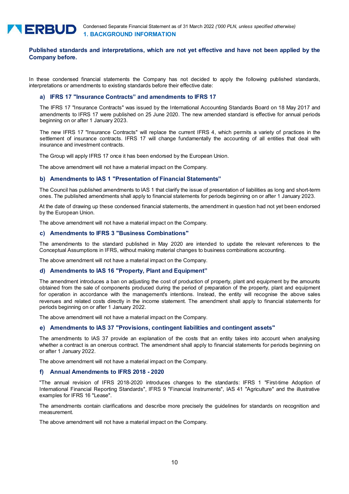

# **Published standards and interpretations, which are not yet effective and have not been applied by the Company before.**

In these condensed financial statements the Company has not decided to apply the following published standards, interpretations or amendments to existing standards before their effective date:

### **a) IFRS 17 "Insurance Contracts" and amendments to IFRS 17**

The IFRS 17 "Insurance Contracts" was issued by the International Accounting Standards Board on 18 May 2017 and amendments to IFRS 17 were published on 25 June 2020. The new amended standard is effective for annual periods beginning on or after 1 January 2023.

The new IFRS 17 "Insurance Contracts" will replace the current IFRS 4, which permits a variety of practices in the settlement of insurance contracts. IFRS 17 will change fundamentally the accounting of all entities that deal with insurance and investment contracts.

The Group will apply IFRS 17 once it has been endorsed by the European Union.

The above amendment will not have a material impact on the Company.

### **b) Amendments to IAS 1 "Presentation of Financial Statements"**

The Council has published amendments to IAS 1 that clarify the issue of presentation of liabilities as long and short-term ones. The published amendments shall apply to financial statements for periods beginning on or after 1 January 2023.

At the date of drawing up these condensed financial statements, the amendment in question had not yet been endorsed by the European Union.

The above amendment will not have a material impact on the Company.

### **c) Amendments to IFRS 3 "Business Combinations"**

The amendments to the standard published in May 2020 are intended to update the relevant references to the Conceptual Assumptions in IFRS, without making material changes to business combinations accounting.

The above amendment will not have a material impact on the Company.

### **d) Amendments to IAS 16 "Property, Plant and Equipment"**

The amendment introduces a ban on adjusting the cost of production of property, plant and equipment by the amounts obtained from the sale of components produced during the period of preparation of the property, plant and equipment for operation in accordance with the management's intentions. Instead, the entity will recognise the above sales revenues and related costs directly in the income statement. The amendment shall apply to financial statements for periods beginning on or after 1 January 2022.

The above amendment will not have a material impact on the Company.

### **e) Amendments to IAS 37 "Provisions, contingent liabilities and contingent assets"**

The amendments to IAS 37 provide an explanation of the costs that an entity takes into account when analysing whether a contract is an onerous contract. The amendment shall apply to financial statements for periods beginning on or after 1 January 2022.

The above amendment will not have a material impact on the Company.

### **f) Annual Amendments to IFRS 2018 - 2020**

"The annual revision of IFRS 2018-2020 introduces changes to the standards: IFRS 1 "First-time Adoption of International Financial Reporting Standards", IFRS 9 "Financial Instruments", IAS 41 "Agriculture" and the illustrative examples for IFRS 16 "Lease".

The amendments contain clarifications and describe more precisely the guidelines for standards on recognition and measurement.

The above amendment will not have a material impact on the Company.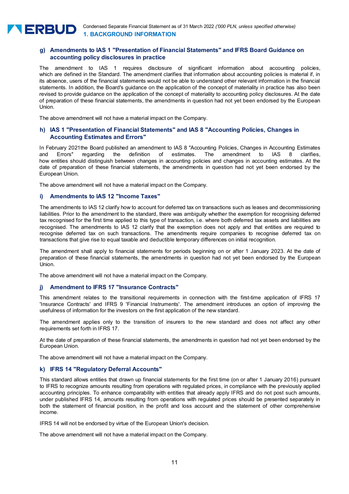# **g) Amendments to IAS 1 "Presentation of Financial Statements" and IFRS Board Guidance on accounting policy disclosures in practice**

The amendment to IAS 1 requires disclosure of significant information about accounting policies, which are defined in the Standard. The amendment clarifies that information about accounting policies is material if, in its absence, users of the financial statements would not be able to understand other relevant information in the financial statements. In addition, the Board's guidance on the application of the concept of materiality in practice has also been revised to provide guidance on the application of the concept of materiality to accounting policy disclosures. At the date of preparation of these financial statements, the amendments in question had not yet been endorsed by the European Union.

The above amendment will not have a material impact on the Company.

### **h) IAS 1 "Presentation of Financial Statements" and IAS 8 "Accounting Policies, Changes in Accounting Estimates and Errors"**

In February 2021the Board published an amendment to IAS 8 "Accounting Policies, Changes in Accounting Estimates and Errors" regarding the definition of estimates. The amendment to IAS 8 clarifies, how entities should distinguish between changes in accounting policies and changes in accounting estimates. At the date of preparation of these financial statements, the amendments in question had not yet been endorsed by the European Union.

The above amendment will not have a material impact on the Company.

### **i) Amendments to IAS 12 "Income Taxes"**

The amendments to IAS 12 clarify how to account for deferred tax on transactions such as leases and decommissioning liabilities. Prior to the amendment to the standard, there was ambiguity whether the exemption for recognising deferred tax recognised for the first time applied to this type of transaction, i.e. where both deferred tax assets and liabilities are recognised. The amendments to IAS 12 clarify that the exemption does not apply and that entities are required to recognise deferred tax on such transactions. The amendments require companies to recognise deferred tax on transactions that give rise to equal taxable and deductible temporary differences on initial recognition.

The amendment shall apply to financial statements for periods beginning on or after 1 January 2023. At the date of preparation of these financial statements, the amendments in question had not yet been endorsed by the European Union.

The above amendment will not have a material impact on the Company.

### **j) Amendment to IFRS 17 "Insurance Contracts"**

This amendment relates to the transitional requirements in connection with the first-time application of IFRS 17 'Insurance Contracts' and IFRS 9 'Financial Instruments'. The amendment introduces an option of improving the usefulness of information for the investors on the first application of the new standard.

The amendment applies only to the transition of insurers to the new standard and does not affect any other requirements set forth in IFRS 17.

At the date of preparation of these financial statements, the amendments in question had not yet been endorsed by the European Union.

The above amendment will not have a material impact on the Company.

### **k) IFRS 14 "Regulatory Deferral Accounts"**

This standard allows entities that drawn up financial statements for the first time (on or after 1 January 2016) pursuant to IFRS to recognize amounts resulting from operations with regulated prices, in compliance with the previously applied accounting principles. To enhance comparability with entities that already apply IFRS and do not post such amounts, under published IFRS 14, amounts resulting from operations with regulated prices should be presented separately in both the statement of financial position, in the profit and loss account and the statement of other comprehensive income.

IFRS 14 will not be endorsed by virtue of the European Union's decision.

The above amendment will not have a material impact on the Company.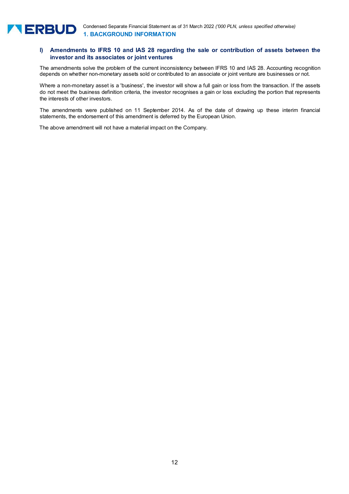# **l) Amendments to IFRS 10 and IAS 28 regarding the sale or contribution of assets between the investor and its associates or joint ventures**

The amendments solve the problem of the current inconsistency between IFRS 10 and IAS 28. Accounting recognition depends on whether non-monetary assets sold or contributed to an associate or joint venture are businesses or not.

Where a non-monetary asset is a 'business', the investor will show a full gain or loss from the transaction. If the assets do not meet the business definition criteria, the investor recognises a gain or loss excluding the portion that represents the interests of other investors.

The amendments were published on 11 September 2014. As of the date of drawing up these interim financial statements, the endorsement of this amendment is deferred by the European Union.

The above amendment will not have a material impact on the Company.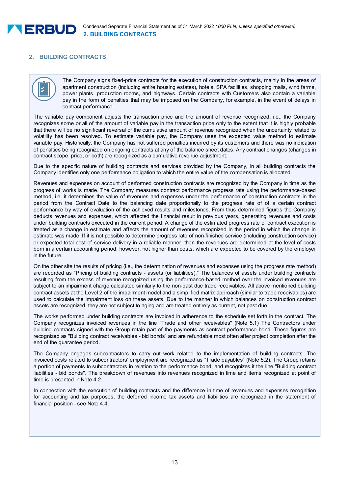

# **2. BUILDING CONTRACTS**

### The Company signs fixed-price contracts for the execution of construction contracts, mainly in the areas of apartment construction (including entire housing estates), hotels, SPA facilities, shopping malls, wind farms, power plants, production rooms, and highways. Certain contracts with Customers also contain a variable pay in the form of penalties that may be imposed on the Company, for example, in the event of delays in contract performance.

The variable pay component adjusts the transaction price and the amount of revenue recognized. i.e., the Company recognizes some or all of the amount of variable pay in the transaction price only to the extent that it is highly probable that there will be no significant reversal of the cumulative amount of revenue recognized when the uncertainty related to volatility has been resolved. To estimate variable pay, the Company uses the expected value method to estimate variable pay. Historically, the Company has not suffered penalties incurred by its customers and there was no indication of penalties being recognized on ongoing contracts at any of the balance sheet dates. Any contract changes (changes in contract scope, price, or both) are recognized as a cumulative revenue adjustment.

Due to the specific nature of building contracts and services provided by the Company, in all building contracts the Company identifies only one performance obligation to which the entire value of the compensation is allocated.

Revenues and expenses on account of performed construction contracts are recognized by the Company in time as the progress of works is made. The Company measures contract performance progress rate using the performance-based method, i.e. it determines the value of revenues and expenses under the performance of construction contracts in the period from the Contract Date to the balancing date proportionally to the progress rate of of a certain contract performance by way of evaluation of the achieved results and milestones. From thus determined figures the Company deducts revenues and expenses, which affected the financial result in previous years, generating revenues and costs under building contracts executed in the current period. A change of the estimated progress rate of contract execution is treated as a change in estimate and affects the amount of revenues recognized in the period in which the change in estimate was made. If it is not possible to determine progress rate of non-finished service (including construction service) or expected total cost of service delivery in a reliable manner, then the revenues are determined at the level of costs born in a certain accounting period, however, not higher than costs, which are expected to be covered by the employer in the future.

On the other site the results of pricing (i.e., the determination of revenues and expenses using the progress rate method) are recorded as "Pricing of building contracts - assets (or liabilities)." The balances of assets under building contracts resulting from the excess of revenue recognized using the performance-based method over the invoiced revenues are subject to an impairment charge calculated similarly to the non-past due trade receivables. All above mentioned building contract assets at the Level 2 of the impairment model and a simplified matrix approach (similar to trade receivables) are used to calculate the impairment loss on these assets. Due to the manner in which balances on construction contract assets are recognized, they are not subject to aging and are treated entirely as current, not past due.

The works performed under building contracts are invoiced in adherence to the schedule set forth in the contract. The Company recognizes invoiced revenues in the line "Trade and other receivables" (Note 5.1) The Contractors under building contracts signed with the Group retain part of the payments as contract performance bond. These figures are recognized as "Building contract receivables - bid bonds" and are refundable most often after project completion after the end of the guarantee period.

The Company engages subcontractors to carry out work related to the implementation of building contracts. The invoiced costs related to subcontractors' employment are recognized as "Trade payables" (Note 5.2). The Group retains a portion of payments to subcontractors in relation to the performance bond, and recognizes it the line "Building contract liabilities - bid bonds". The breakdown of revenues into revenues recognized in time and items recognized at point of time is presented in Note 4.2.

In connection with the execution of building contracts and the difference in time of revenues and expenses recognition for accounting and tax purposes, the deferred income tax assets and liabilities are recognized in the statement of financial position - see Note 4.4.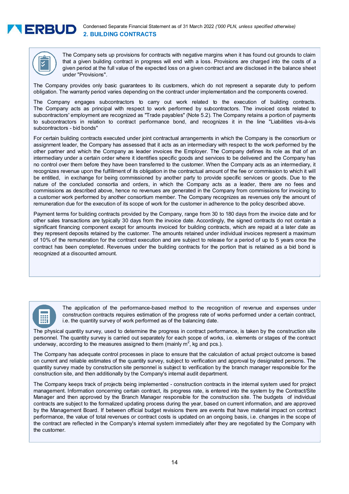



The Company sets up provisions for contracts with negative margins when it has found out grounds to claim that a given building contract in progress will end with a loss. Provisions are charged into the costs of a given period at the full value of the expected loss on a given contract and are disclosed in the balance sheet under "Provisions".

The Company provides only basic guarantees to its customers, which do not represent a separate duty to perform obligation. The warranty period varies depending on the contract under implementation and the components covered.

The Company engages subcontractors to carry out work related to the execution of building contracts. The Company acts as principal with respect to work performed by subcontractors. The invoiced costs related to subcontractors' employment are recognized as "Trade payables" (Note 5.2). The Company retains a portion of payments to subcontractors in relation to contract performance bond, and recognizes it in the line "Liabilities vis-à-vis subcontractors - bid bonds"

For certain building contracts executed under joint contractual arrangements in which the Company is the consortium or assignment leader, the Company has assessed that it acts as an intermediary with respect to the work performed by the other partner and which the Company as leader invoices the Employer. The Company defines its role as that of an intermediary under a certain order where it identifies specific goods and services to be delivered and the Company has no control over them before they have been transferred to the customer. When the Company acts as an intermediary, it recognizes revenue upon the fulfillment of its obligation in the contractual amount of the fee or commission to which it will be entitled, in exchange for being commissioned by another party to provide specific services or goods. Due to the nature of the concluded consortia and orders, in which the Company acts as a leader, there are no fees and commissions as described above, hence no revenues are generated in the Company from commissions for invoicing to a customer work performed by another consortium member. The Company recognizes as revenues only the amount of remuneration due for the execution of its scope of work for the customer in adherence to the policy described above.

Payment terms for building contracts provided by the Company, range from 30 to 180 days from the invoice date and for other sales transactions are typically 30 days from the invoice date. Accordingly, the signed contracts do not contain a significant financing component except for amounts invoiced for building contracts, which are repaid at a later date as they represent deposits retained by the customer. The amounts retained under individual invoices represent a maximum of 10% of the remuneration for the contract execution and are subject to release for a period of up to 5 years once the contract has been completed. Revenues under the building contracts for the portion that is retained as a bid bond is recognized at a discounted amount.



The application of the performance-based method to the recognition of revenue and expenses under construction contracts requires estimation of the progress rate of works performed under a certain contract, i.e. the quantity survey of work performed as of the balancing date.

The physical quantity survey, used to determine the progress in contract performance, is taken by the construction site personnel. The quantity survey is carried out separately for each scope of works, i.e. elements or stages of the contract underway, according to the measures assigned to them (mainly  $\mathsf{m}^2$ , kg and pcs.).

The Company has adequate control processes in place to ensure that the calculation of actual project outcome is based on current and reliable estimates of the quantity survey, subject to verification and approval by designated persons. The quantity survey made by construction site personnel is subject to verification by the branch manager responsible for the construction site, and then additionally by the Company's internal audit department.

The Company keeps track of projects being implemented - construction contracts in the internal system used for project management. Information concerning certain contract, its progress rate, is entered into the system by the Contract/Site Manager and then approved by the Branch Manager responsible for the construction site. The budgets of individual contracts are subject to the formalized updating process during the year, based on current information, and are approved by the Management Board. If between official budget revisions there are events that have material impact on contract performance, the value of total revenues or contract costs is updated on an ongoing basis, i.e. changes in the scope of the contract are reflected in the Company's internal system immediately after they are negotiated by the Company with the customer.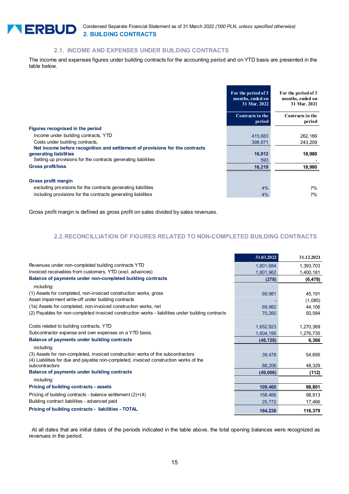

# **2.1. INCOME AND EXPENSES UNDER BUILDING CONTRACTS**

The income and expenses figures under building contracts for the accounting period and on YTD basis are presented in the table below.

|                                                                              | For the period of 3<br>months, ended on<br>31 Mar. 2022 | For the period of 3<br>months, ended on<br>31 Mar. 2021 |
|------------------------------------------------------------------------------|---------------------------------------------------------|---------------------------------------------------------|
|                                                                              | Contracts in the<br>period                              | Contracts in the<br>period                              |
| Figures recognised in the period                                             |                                                         |                                                         |
| Income under building contracts, YTD                                         | 415,683                                                 | 262,189                                                 |
| Costs under building contracts,                                              | 398,871                                                 | 243,209                                                 |
| Net income before recognition and settlement of provisions for the contracts |                                                         |                                                         |
| generating liabilities                                                       | 16,812                                                  | 18,980                                                  |
| Setting up provisions for the contracts generating liabilities               | 593                                                     |                                                         |
| <b>Gross profit/loss</b>                                                     | 16,219                                                  | 18,980                                                  |
|                                                                              |                                                         |                                                         |
| <b>Gross profit margin</b>                                                   |                                                         |                                                         |
| excluding provisions for the contracts generating liabilities                | 4%                                                      | 7%                                                      |
| including provisions for the contracts generating liabilities                | 4%                                                      | 7%                                                      |

Gross profit margin is defined as gross profit on sales divided by sales revenues.

# **2.2. RECONCILLIATION OF FIGURES RELATED TO NON-COMPLETED BUILDING CONTRACTS**

|                                                                                                   | 31.03.2022 | 31.12.2021 |
|---------------------------------------------------------------------------------------------------|------------|------------|
| Revenues under non-completed building contracts YTD                                               | 1,801,684  | 1,393,703  |
| Invoiced receivables from customers, YTD (excl. advances)                                         | 1,801,962  | 1,400,181  |
| Balance of payments under non-completed building contracts                                        | (278)      | (6, 478)   |
| including:                                                                                        |            |            |
| (1) Assets for completed, non-invoiced construction works, gross                                  | 69,981     | 45,191     |
| Asset impairment write-off under building contracts                                               |            | (1,085)    |
| (1a) Assets for completed, non-invoiced construction works, net                                   | 69,982     | 44,106     |
| (2) Payables for non-completed invoiced construction works - liabilities under building contracts | 70,260     | 50,584     |
|                                                                                                   |            |            |
| Costs related to building contracts, YTD                                                          | 1,652,923  | 1,270,369  |
| Subcontractor expense and own expenses on a YTD basis.                                            | 1,604,195  | 1,276,735  |
| Balance of payments under building contracts                                                      | (48, 728)  | 6,366      |
| including:                                                                                        |            |            |
| (3) Assets for non-completed, invoiced construction works of the subcontractors                   | 39,478     | 54,695     |
| (4) Liabilities for due and payable non-completed, invoiced construction works of the             |            |            |
| subcontractors                                                                                    | 88,206     | 48,329     |
| Balance of payments under building contracts                                                      | (49,006)   | (112)      |
| including:                                                                                        |            |            |
| Pricing of building contracts - assets                                                            | 109,460    | 98,801     |
| Pricing of building contracts - balance settlement $(2)+(4)$                                      | 158,466    | 98,913     |
| Building contract liabilities - advanced paid                                                     | 25,772     | 17,466     |
| Pricing of building contracts - liabilities - TOTAL                                               | 184,238    | 116,379    |

 At all dates that are initial dates of the periods indicated in the table above, the total opening balances were recognized as revenues in the period.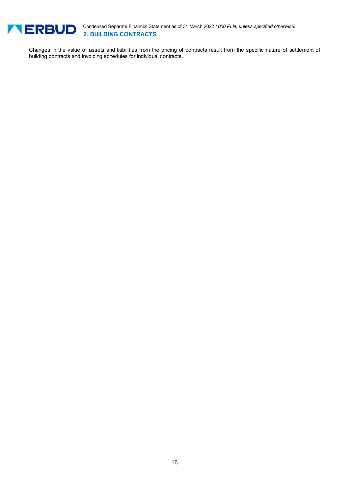

Condensed Separate Financial Statement as of 31 March 2022 *('000 PLN, unless specified otherwise)* **2. BUILDING CONTRACTS** 

Changes in the value of assets and liabilities from the pricing of contracts result from the specific nature of settlement of building contracts and invoicing schedules for individual contracts.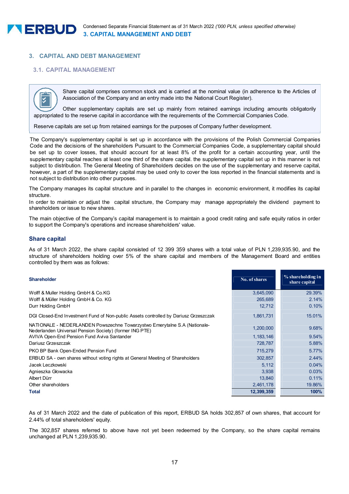

# **3. CAPITAL AND DEBT MANAGEMENT**

# **3.1. CAPITAL MANAGEMENT**



Share capital comprises common stock and is carried at the nominal value (in adherence to the Articles of Association of the Company and an entry made into the National Court Register).

supplementary capital should be set up to cover losses, that should account for at least 8% of the profit for at least 8% of the profit for at least 8% of the profit for at least 8% of the profit for at least 8% of the pr Other supplementary capitals are set up mainly from retained earnings including amounts obligatorily appropriated to the reserve capital in accordance with the requirements of the Commercial Companies Code.

Reserve capitals are set up from retained earnings for the purposes of Company further development.

The Company's supplementary capital is set up in accordance with the provisions of the Polish Commercial Companies Code and the decisions of the shareholders Pursuant to the Commercial Companies Code, a supplementary capital should be set up to cover losses, that should account for at least 8% of the profit for a certain accounting year, until the supplementary capital reaches at least one third of the share capital. the supplementary capital set up in this manner is not subject to distribution. The General Meeting of Shareholders decides on the use of the supplementary and reserve capital, however, a part of the supplementary capital may be used only to cover the loss reported in the financial statements and is not subject to distribution into other purposes.

The Company manages its capital structure and in parallel to the changes in economic environment, it modifies its capital structure.

In order to maintain or adjust the capital structure, the Company may manage appropriately the dividend payment to shareholders or issue to new shares.

The main objective of the Company's capital management is to maintain a good credit rating and safe equity ratios in order to support the Company's operations and increase shareholders' value.

# **Share capital**

As of 31 March 2022, the share capital consisted of 12 399 359 shares with a total value of PLN 1,239,935.90, and the structure of shareholders holding over 5% of the share capital and members of the Management Board and entities controlled by them was as follows:

|  | <b>Shareholder</b> |
|--|--------------------|
|  |                    |

| <b>Shareholder</b>                                                                                                                   | No. of shares | % shareholding in<br>share capital |
|--------------------------------------------------------------------------------------------------------------------------------------|---------------|------------------------------------|
| Wolff & Muller Holding GmbH & Co.KG                                                                                                  | 3,645,090     | 29.39%                             |
| Wolff & Müller Holding GmbH & Co. KG                                                                                                 | 265,689       | 2.14%                              |
| Durr Holding GmbH                                                                                                                    | 12,712        | 0.10%                              |
| DGI Closed-End Investment Fund of Non-public Assets controlled by Dariusz Grzeszczak                                                 | 1,861,731     | 15.01%                             |
| NATIONALE - NEDERLANDEN Powszechne Towarzystwo Emerytalne S.A (Nationale-<br>Nederlanden Universal Pension Society) (former ING PTE) | 1,200,000     | 9.68%                              |
| AVIVA Open-End Pension Fund Aviva Santander                                                                                          | 1, 183, 146   | 9.54%                              |
| Dariusz Grzeszczak                                                                                                                   | 728,787       | 5.88%                              |
| PKO BP Bank Open-Ended Pension Fund                                                                                                  | 715,279       | 5.77%                              |
| ERBUD SA - own shares without voting rights at General Meeting of Shareholders                                                       | 302,857       | 2.44%                              |
| Jacek Leczkowski                                                                                                                     | 5,112         | 0.04%                              |
| Agnieszka Głowacka                                                                                                                   | 3,938         | 0.03%                              |
| Albert Dürr                                                                                                                          | 13,840        | 0.11%                              |
| Other shareholders                                                                                                                   | 2,461,178     | 19.86%                             |
| Total                                                                                                                                | 12,399,359    | 100%                               |

As of 31 March 2022 and the date of publication of this report, ERBUD SA holds 302,857 of own shares, that account for 2.44% of total shareholders' equity.

The 302,857 shares referred to above have not yet been redeemed by the Company, so the share capital remains unchanged at PLN 1,239,935.90.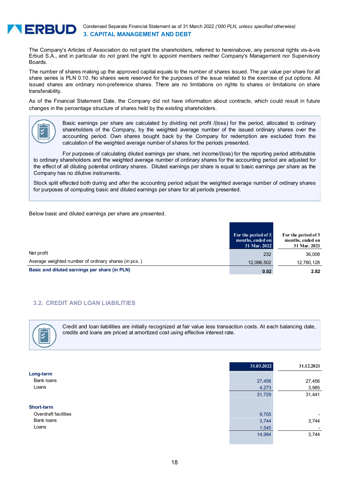

Condensed Separate Financial Statement as of 31 March 2022 *('000 PLN, unless specified otherwise)* **3. CAPITAL MANAGEMENT AND DEBT** 

The Company's Articles of Association do not grant the shareholders, referred to hereinabove, any personal rights vis-à-vis Erbud S.A., and in particular do not grant the right to appoint members neither Company's Management nor Supervisory Boards.

The number of shares making up the approved capital equals to the number of shares issued. The par value per share for all share series is PLN 0.10. No shares were reserved for the purposes of the issue related to the exercise of put options. All issued shares are ordinary non-preference shares. There are no limitations on rights to shares or limitations on share transferability.

As of the Financial Statement Date, the Company did not have information about contracts, which could result in future changes in the percentage structure of shares held by the existing shareholders.



Basic earnings per share are calculated by dividing net profit /(loss) for the period, allocated to ordinary shareholders of the Company, by the weighted average number of the issued ordinary shares over the accounting period. Own shares bought back by the Company for redemption are excluded from the calculation of the weighted average number of shares for the periods presented.

For purposes of calculating diluted earnings per share, net income/(loss) for the reporting period attributable to ordinary shareholders and the weighted average number of ordinary shares for the accounting period are adjusted for the effect of all diluting potential ordinary shares. Diluted earnings per share is equal to basic earnings per share as the Company has no dilutive instruments.

Stock split effected both during and after the accounting period adjust the weighted average number of ordinary shares for purposes of computing basic and diluted earnings per share for all periods presented.

Below basic and diluted earnings per share are presented.

|                                                      | For the period of 3<br>months, ended on<br>31 Mar. 2022 | For the period of 3<br>months, ended on<br>31 Mar. 2021 |
|------------------------------------------------------|---------------------------------------------------------|---------------------------------------------------------|
| Net profit                                           | 232                                                     | 36,008                                                  |
| Average weighted number of ordinary shares (in pcs.) | 12,096,502                                              | 12,780,128                                              |
| Basic and diluted earnings per share (in PLN)        | 0.02                                                    | 2.82                                                    |

# **3.2. CREDIT AND LOAN LIABILITIES**



Credit and loan liabilities are initially recognized at fair value less transaction costs. At each balancing date, credits and loans are priced at amortized cost using effective interest rate.

|                      | 31.03.2022 | 31.12.2021 |
|----------------------|------------|------------|
| Long-term            |            |            |
| Bank loans           | 27,456     | 27,456     |
| Loans                | 4,273      | 3,985      |
|                      | 31,729     | 31,441     |
| Short-term           |            |            |
| Overdraft facilities | 9,705      | ۰          |
| Bank loans           | 3,744      | 3,744      |
| Loans                | 1,545      |            |
|                      | 14,994     | 3,744      |
|                      |            |            |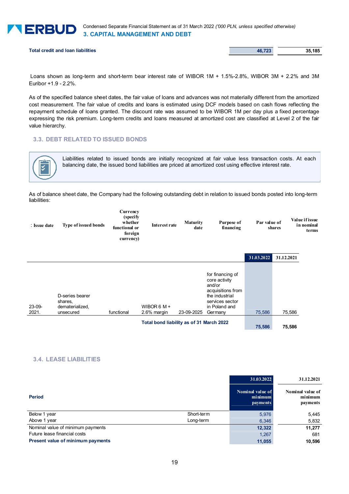

Condensed Separate Financial Statement as of 31 March 2022 *('000 PLN, unless specified otherwise)* **3. CAPITAL MANAGEMENT AND DEBT** 

**Total credit and loan liabilities** 35,185

 Loans shown as long-term and short-term bear interest rate of WIBOR 1M + 1.5%-2.8%, WIBOR 3M + 2.2% and 3M Euribor +1.9 - 2.2%.

As of the specified balance sheet dates, the fair value of loans and advances was not materially different from the amortized cost measurement. The fair value of credits and loans is estimated using DCF models based on cash flows reflecting the repayment schedule of loans granted. The discount rate was assumed to be WIBOR 1M per day plus a fixed percentage expressing the risk premium. Long-term credits and loans measured at amortized cost are classified at Level 2 of the fair value hierarchy.

# **3.3. DEBT RELATED TO ISSUED BONDS**



Liabilities related to issued bonds are initially recognized at fair value less transaction costs. At each balancing date, the issued bond liabilities are priced at amortized cost using effective interest rate.

As of balance sheet date, the Company had the following outstanding debt in relation to issued bonds posted into long-term liabilities:

| : Issue date | Type of issued bonds | Currency<br>(specify)<br>whether<br>functional or<br>foreign<br>currency) | Interest rate | <b>Maturity</b><br>date | Purpose of<br>financing           | Par value of<br>shares |            | Value if issue<br>in nominal<br>terms |
|--------------|----------------------|---------------------------------------------------------------------------|---------------|-------------------------|-----------------------------------|------------------------|------------|---------------------------------------|
|              |                      |                                                                           |               |                         |                                   | 31.03.2022             | 31.12.2021 |                                       |
|              |                      |                                                                           |               |                         | for financing of<br>core activity |                        |            |                                       |

|                   |                                                            |            | Total bond liability as of 31 March 2022 | 75,586     | 75.586                                                                                       |        |        |
|-------------------|------------------------------------------------------------|------------|------------------------------------------|------------|----------------------------------------------------------------------------------------------|--------|--------|
| $23-09-$<br>2021. | D-series bearer<br>shares.<br>dematerialized.<br>unsecured | functional | WIBOR 6 M $+$<br>2.6% margin             | 23-09-2025 | and/or<br>acquisitions from<br>the industrial<br>services sector<br>in Poland and<br>Germany | 75.586 | 75,586 |
|                   |                                                            |            |                                          |            | .                                                                                            |        |        |

### **3.4. LEASE LIABILITIES**

|                                   |            | 31.03.2022                                     | 31.12.2021                              |
|-----------------------------------|------------|------------------------------------------------|-----------------------------------------|
| <b>Period</b>                     |            | Nominal value of<br>minimum<br><b>payments</b> | Nominal value of<br>minimum<br>payments |
| Below 1 year                      | Short-term | 5,976                                          | 5,445                                   |
| Above 1 year                      | Long-term  | 6,346                                          | 5,832                                   |
| Nominal value of minimum payments |            | 12,322                                         | 11,277                                  |
| Future lease financial costs      |            | 1,267                                          | 681                                     |
| Present value of minimum payments |            | 11,055                                         | 10.596                                  |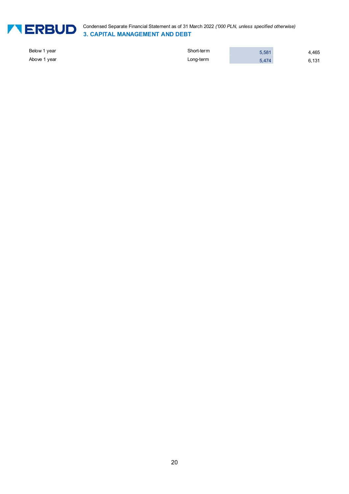

Condensed Separate Financial Statement as of 31 March 2022 *('000 PLN, unless specified otherwise)* **3. CAPITAL MANAGEMENT AND DEBT** 

| Below 1 year | Short-term | 5,581 | 4,465 |
|--------------|------------|-------|-------|
| Above 1 year | Long-term  | 5.474 | 6,131 |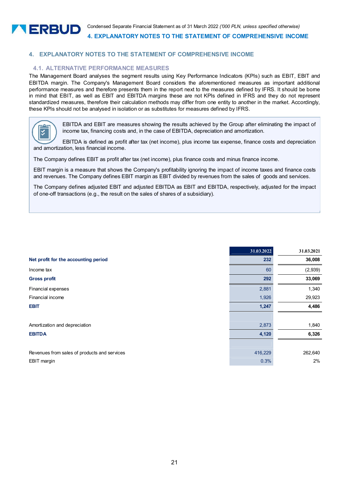

# **4. EXPLANATORY NOTES TO THE STATEMENT OF COMPREHENSIVE INCOME**

# **4.1. ALTERNATIVE PERFORMANCE MEASURES**

The Management Board analyses the segment results using Key Performance Indicators (KPIs) such as EBIT, EBIT and EBITDA margin. The Company's Management Board considers the aforementioned measures as important additional performance measures and therefore presents them in the report next to the measures defined by IFRS. It should be borne in mind that EBIT, as well as EBIT and EBITDA margins these are not KPIs defined in IFRS and they do not represent standardized measures, therefore their calculation methods may differ from one entity to another in the market. Accordingly, these KPIs should not be analysed in isolation or as substitutes for measures defined by IFRS.



EBITDA and EBIT are measures showing the results achieved by the Group after eliminating the impact of income tax, financing costs and, in the case of EBITDA, depreciation and amortization.

EBITDA is defined as profit after tax (net income), plus income tax expense, finance costs and depreciation and amortization, less financial income.

The Company defines EBIT as profit after tax (net income), plus finance costs and minus finance income.

EBIT margin is a measure that shows the Company's profitability ignoring the impact of income taxes and finance costs and revenues. The Company defines EBIT margin as EBIT divided by revenues from the sales of goods and services.

The Company defines adjusted EBIT and adjusted EBITDA as EBIT and EBITDA, respectively, adjusted for the impact of one-off transactions (e.g., the result on the sales of shares of a subsidiary).

|                                              | 31.03.2022 | 31.03.2021 |
|----------------------------------------------|------------|------------|
| Net profit for the accounting period         | 232        | 36,008     |
| Income tax                                   | 60         | (2,939)    |
| <b>Gross profit</b>                          | 292        | 33,069     |
| Financial expenses                           | 2,881      | 1,340      |
| <b>Financial income</b>                      | 1,926      | 29,923     |
| <b>EBIT</b>                                  | 1,247      | 4,486      |
|                                              |            |            |
| Amortization and depreciation                | 2,873      | 1,840      |
| <b>EBITDA</b>                                | 4,120      | 6,326      |
|                                              |            |            |
| Revenues from sales of products and services | 416,229    | 262,640    |
| EBIT margin                                  | 0.3%       | 2%         |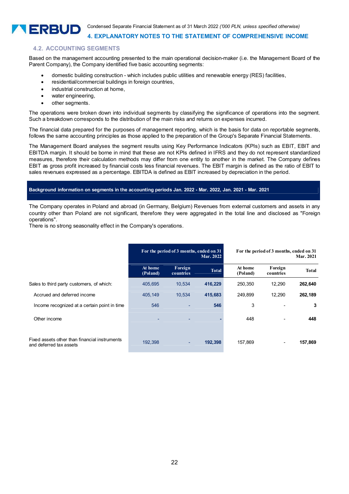

**4. EXPLANATORY NOTES TO THE STATEMENT OF COMPREHENSIVE INCOME** 

### **4.2. ACCOUNTING SEGMENTS**

Based on the management accounting presented to the main operational decision-maker (i.e. the Management Board of the Parent Company), the Company identified five basic accounting segments:

- domestic building construction which includes public utilities and renewable energy (RES) facilities,
- residential/commercial buildings in foreign countries,
- industrial construction at home.
- water engineering,
- other segments.

The operations were broken down into individual segments by classifying the significance of operations into the segment. Such a breakdown corresponds to the distribution of the main risks and returns on expenses incurred.

The financial data prepared for the purposes of management reporting, which is the basis for data on reportable segments, follows the same accounting principles as those applied to the preparation of the Group's Separate Financial Statements.

The Management Board analyses the segment results using Key Performance Indicators (KPIs) such as EBIT, EBIT and EBITDA margin. It should be borne in mind that these are not KPIs defined in IFRS and they do not represent standardized measures, therefore their calculation methods may differ from one entity to another in the market. The Company defines EBIT as gross profit increased by financial costs less financial revenues. The EBIT margin is defined as the ratio of EBIT to sales revenues expressed as a percentage. EBITDA is defined as EBIT increased by depreciation in the period.

### **Background information on segments in the accounting periods Jan. 2022 - Mar. 2022, Jan. 2021 - Mar. 2021**

The Company operates in Poland and abroad (in Germany, Belgium) Revenues from external customers and assets in any country other than Poland are not significant, therefore they were aggregated in the total line and disclosed as "Foreign operations".

There is no strong seasonality effect in the Company's operations.

|                                                                          |                     | For the period of 3 months, ended on 31 | <b>Mar. 2022</b> |                     | For the period of 3 months, ended on 31<br><b>Mar. 2021</b> |              |
|--------------------------------------------------------------------------|---------------------|-----------------------------------------|------------------|---------------------|-------------------------------------------------------------|--------------|
|                                                                          | At home<br>(Poland) | Foreign<br>countries                    | <b>Total</b>     | At home<br>(Poland) | Foreign<br>countries                                        | <b>Total</b> |
| Sales to third party customers, of which:                                | 405.695             | 10,534                                  | 416,229          | 250,350             | 12.290                                                      | 262,640      |
| Accrued and deferred income                                              | 405.149             | 10.534                                  | 415.683          | 249.899             | 12.290                                                      | 262,189      |
| Income recognized at a certain point in time                             | 546                 |                                         | 546              | 3                   |                                                             | 3            |
| Other income                                                             | ۰                   | ۰                                       |                  | 448                 |                                                             | 448          |
| Fixed assets other than financial instruments<br>and deferred tax assets | 192,398             | ٠                                       | 192,398          | 157,869             | ٠                                                           | 157,869      |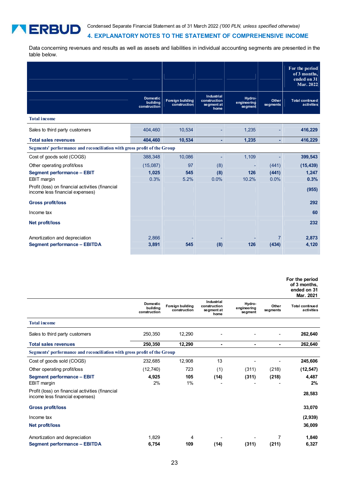# **4. EXPLANATORY NOTES TO THE STATEMENT OF COMPREHENSIVE INCOME**

Data concerning revenues and results as well as assets and liabilities in individual accounting segments are presented in the table below.

**TERBUD** 

|                                                                                     |                                             |                                         |                                                  |                                  |                   | For the period<br>of 3 months,<br>ended on 31<br>Mar. 2022 |
|-------------------------------------------------------------------------------------|---------------------------------------------|-----------------------------------------|--------------------------------------------------|----------------------------------|-------------------|------------------------------------------------------------|
|                                                                                     | <b>Domestic</b><br>building<br>construction | <b>Foreign building</b><br>construction | Industrial<br>construction<br>segment at<br>home | Hydro-<br>engineering<br>segment | Other<br>segments | <b>Total continued</b><br>activities                       |
| <b>Total income</b>                                                                 |                                             |                                         |                                                  |                                  |                   |                                                            |
| Sales to third party customers                                                      | 404,460                                     | 10,534                                  |                                                  | 1,235                            |                   | 416,229                                                    |
| <b>Total sales revenues</b>                                                         | 404,460                                     | 10,534                                  | ä,                                               | 1,235                            |                   | 416,229                                                    |
| Segments' performance and reconciliation with gross profit of the Group             |                                             |                                         |                                                  |                                  |                   |                                                            |
| Cost of goods sold (COGS)                                                           | 388,348                                     | 10,086                                  | ٠                                                | 1,109                            |                   | 399,543                                                    |
| Other operating profit/loss                                                         | (15,087)                                    | 97                                      | (8)                                              |                                  | (441)             | (15, 439)                                                  |
| <b>Segment performance - EBIT</b>                                                   | 1,025                                       | 545                                     | (8)                                              | 126                              | (441)             | 1,247                                                      |
| <b>EBIT</b> margin                                                                  | 0.3%                                        | 5.2%                                    | 0.0%                                             | 10.2%                            | 0.0%              | 0.3%                                                       |
| Profit (loss) on financial activities (financial<br>income less financial expenses) |                                             |                                         |                                                  |                                  |                   | (955)                                                      |
| <b>Gross profit/loss</b>                                                            |                                             |                                         |                                                  |                                  |                   | 292                                                        |
| Income tax                                                                          |                                             |                                         |                                                  |                                  |                   | 60                                                         |
| <b>Net profit/loss</b>                                                              |                                             |                                         |                                                  |                                  |                   | 232                                                        |
| Amortization and depreciation                                                       | 2,866                                       |                                         |                                                  |                                  | 7                 | 2,873                                                      |
| <b>Segment performance - EBITDA</b>                                                 | 3,891                                       | 545                                     | (8)                                              | 126                              | (434)             | 4,120                                                      |

| For the period |
|----------------|
| of 3 months,   |
| ended on 31    |

|                                                                                     |                                             |                                  |                                                  |                                  |                   | Mar. 2021                            |
|-------------------------------------------------------------------------------------|---------------------------------------------|----------------------------------|--------------------------------------------------|----------------------------------|-------------------|--------------------------------------|
|                                                                                     | <b>Domestic</b><br>building<br>construction | Foreign building<br>construction | Industrial<br>construction<br>segment at<br>home | Hydro-<br>engineering<br>segment | Other<br>segments | <b>Total continued</b><br>activities |
| <b>Total income</b>                                                                 |                                             |                                  |                                                  |                                  |                   |                                      |
| Sales to third party customers                                                      | 250,350                                     | 12,290                           |                                                  |                                  |                   | 262,640                              |
| <b>Total sales revenues</b>                                                         | 250,350                                     | 12,290                           | ۳                                                | ۰                                | ٠                 | 262,640                              |
| Segments' performance and reconciliation with gross profit of the Group             |                                             |                                  |                                                  |                                  |                   |                                      |
| Cost of goods sold (COGS)                                                           | 232,685                                     | 12,908                           | 13                                               |                                  |                   | 245,606                              |
| Other operating profit/loss                                                         | (12, 740)                                   | 723                              | (1)                                              | (311)                            | (218)             | (12, 547)                            |
| Segment performance - EBIT<br>EBIT margin                                           | 4,925<br>2%                                 | 105<br>$1\%$                     | (14)                                             | (311)                            | (218)             | 4,487<br>2%                          |
| Profit (loss) on financial activities (financial<br>income less financial expenses) |                                             |                                  |                                                  |                                  |                   | 28,583                               |
| <b>Gross profit/loss</b>                                                            |                                             |                                  |                                                  |                                  |                   | 33,070                               |
| Income tax                                                                          |                                             |                                  |                                                  |                                  |                   | (2,939)                              |
| Net profit/loss                                                                     |                                             |                                  |                                                  |                                  |                   | 36,009                               |
| Amortization and depreciation                                                       | 1,829                                       | 4                                |                                                  |                                  | 7                 | 1,840                                |
| <b>Segment performance - EBITDA</b>                                                 | 6,754                                       | 109                              | (14)                                             | (311)                            | (211)             | 6,327                                |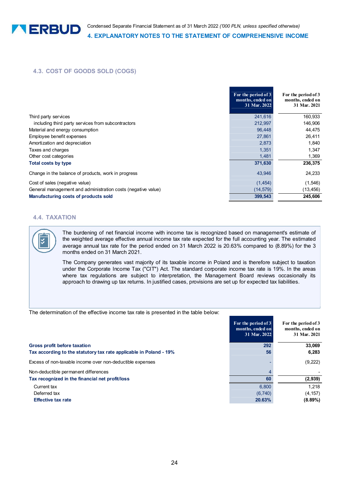# **4.3. COST OF GOODS SOLD (COGS)**

|                                                              | For the period of 3<br>months, ended on<br>31 Mar. 2022 | For the period of 3<br>months, ended on<br>31 Mar. 2021 |
|--------------------------------------------------------------|---------------------------------------------------------|---------------------------------------------------------|
| Third party services                                         | 241,616                                                 | 160,933                                                 |
| including third party services from subcontractors           | 212,997                                                 | 146,906                                                 |
| Material and energy consumption                              | 96.448                                                  | 44,475                                                  |
| Employee benefit expenses                                    | 27,861                                                  | 26,411                                                  |
| Amortization and depreciation                                | 2,873                                                   | 1,840                                                   |
| Taxes and charges                                            | 1,351                                                   | 1,347                                                   |
| Other cost categories                                        | 1,481                                                   | 1,369                                                   |
| <b>Total costs by type</b>                                   | 371,630                                                 | 236,375                                                 |
| Change in the balance of products, work in progress          | 43,946                                                  | 24,233                                                  |
| Cost of sales (negative value)                               | (1, 454)                                                | (1, 546)                                                |
| General management and administration costs (negative value) | (14, 579)                                               | (13, 456)                                               |
| Manufacturing costs of products sold                         | 399,543                                                 | 245,606                                                 |

# **4.4. TAXATION**

The burdening of net financial income with income tax is recognized based on management's estimate of the weighted average effective annual income tax rate expected for the full accounting year. The estimated average annual tax rate for the period ended on 31 March 2022 is 20.63% compared to (8.89%) for the 3 months ended on 31 March 2021.

The Company generates vast majority of its taxable income in Poland and is therefore subject to taxation under the Corporate Income Tax ("CIT") Act. The standard corporate income tax rate is 19%. In the areas where tax regulations are subject to interpretation, the Management Board reviews occasionally its approach to drawing up tax returns. In justified cases, provisions are set up for expected tax liabilities.

The determination of the effective income tax rate is presented in the table below:

|                                                                    | For the period of 3<br>months, ended on<br>31 Mar. 2022 | For the period of 3<br>months, ended on<br>31 Mar. 2021 |
|--------------------------------------------------------------------|---------------------------------------------------------|---------------------------------------------------------|
| <b>Gross profit before taxation</b>                                | 292                                                     | 33,069                                                  |
| Tax according to the statutory tax rate applicable in Poland - 19% | 56                                                      | 6,283                                                   |
| Excess of non-taxable income over non-deductible expenses          |                                                         | (9,222)                                                 |
| Non-deductible permanent differences                               |                                                         |                                                         |
| Tax recognized in the financial net profit/loss                    | 60                                                      | (2,939)                                                 |
| Current tax                                                        | 6.800                                                   | 1.218                                                   |
| Deferred tax                                                       | (6,740)                                                 | (4, 157)                                                |
| <b>Effective tax rate</b>                                          | 20.63%                                                  | $(8.89\%)$                                              |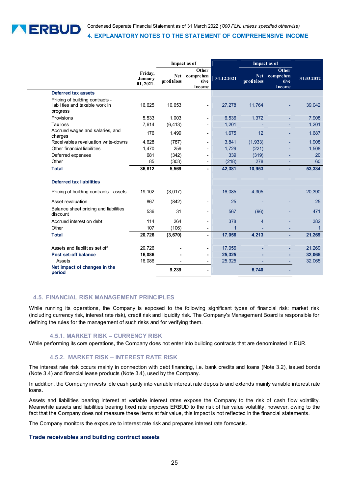

|                                                                                |                                       |                    | Impact as of                         |                |                           | Impact as of                                |             |
|--------------------------------------------------------------------------------|---------------------------------------|--------------------|--------------------------------------|----------------|---------------------------|---------------------------------------------|-------------|
|                                                                                | Friday,<br><b>January</b><br>01,2021. | Net<br>profit/loss | Other<br>comprehen<br>sive<br>income | 31.12.2021     | <b>Net</b><br>profit/loss | <b>Other</b><br>comprehen<br>sive<br>income | 31.03.2022  |
| Deferred tax assets                                                            |                                       |                    |                                      |                |                           |                                             |             |
| Pricing of building contracts -<br>liabilities and taxable work in<br>progress | 16,625                                | 10,653             | ٠                                    | 27,278         | 11,764                    |                                             | 39,042      |
| Provisions                                                                     | 5,533                                 | 1,003              | $\overline{\phantom{a}}$             | 6,536          | 1,372                     |                                             | 7,908       |
| Tax loss                                                                       | 7.614                                 | (6, 413)           |                                      | 1,201          |                           |                                             | 1,201       |
| Accrued wages and salaries, and<br>charges                                     | 176                                   | 1,499              | ٠                                    | 1,675          | 12                        |                                             | 1,687       |
| Receivables revaluation write-downs                                            | 4,628                                 | (787)              |                                      | 3,841          | (1,933)                   |                                             | 1,908       |
| Other financial liabilities                                                    | 1,470                                 | 259                | $\blacksquare$                       | 1,729          | (221)                     |                                             | 1,508       |
| Deferred expenses                                                              | 681                                   | (342)              | ٠                                    | 339            | (319)                     |                                             | 20          |
| Other                                                                          | 85                                    | (303)              | $\blacksquare$                       | (218)          | 278                       |                                             | 60          |
| <b>Total</b>                                                                   | 36,812                                | 5,569              |                                      | 42,381         | 10,953                    |                                             | 53,334      |
| <b>Deferred tax liabilities</b>                                                |                                       |                    |                                      |                |                           |                                             |             |
| Pricing of building contracts - assets                                         | 19,102                                | (3,017)            |                                      | 16,085         | 4,305                     |                                             | 20,390      |
| Asset revaluation                                                              | 867                                   | (842)              | ٠                                    | 25             |                           |                                             | 25          |
| Balance sheet pricing and liabilities<br>discount                              | 536                                   | 31                 | $\overline{\phantom{a}}$             | 567            | (96)                      |                                             | 471         |
| Accrued interest on debt                                                       | 114                                   | 264                | -                                    | 378            | $\overline{4}$            |                                             | 382         |
| Other                                                                          | 107                                   | (106)              | $\overline{\phantom{a}}$             | $\overline{1}$ |                           |                                             | $\mathbf 1$ |
| <b>Total</b>                                                                   | 20,726                                | (3,670)            | ä,                                   | 17,056         | 4,213                     |                                             | 21,269      |
| Assets and liabilities set off                                                 | 20,726                                |                    |                                      | 17,056         |                           |                                             | 21,269      |
| <b>Post set-off balance</b>                                                    | 16,086                                |                    |                                      | 25,325         |                           |                                             | 32,065      |
| Assets                                                                         | 16,086                                |                    |                                      | 25,325         |                           |                                             | 32,065      |
| Net impact of changes in the<br>period                                         |                                       | 9,239              | $\blacksquare$                       |                | 6,740                     |                                             |             |

# **4.5. FINANCIAL RISK MANAGEMENT PRINCIPLES**

While running its operations, the Company is exposed to the following significant types of financial risk: market risk (including currency risk, interest rate risk), credit risk and liquidity risk. The Company's Management Board is responsible for defining the rules for the management of such risks and for verifying them.

### **4.5.1. MARKET RISK – CURRENCY RISK**

While performing its core operations, the Company does not enter into building contracts that are denominated in EUR.

# **4.5.2. MARKET RISK – INTEREST RATE RISK**

The interest rate risk occurs mainly in connection with debt financing, i.e. bank credits and loans (Note 3.2), issued bonds (Note 3.4) and financial lease products (Note 3.4), used by the Company.

In addition, the Company invests idle cash partly into variable interest rate deposits and extends mainly variable interest rate loans.

Assets and liabilities bearing interest at variable interest rates expose the Company to the risk of cash flow volatility. Meanwhile assets and liabilities bearing fixed rate exposes ERBUD to the risk of fair value volatility, however, owing to the fact that the Company does not measure these items at fair value, this impact is not reflected in the financial statements.

The Company monitors the exposure to interest rate risk and prepares interest rate forecasts.

### **Trade receivables and building contract assets**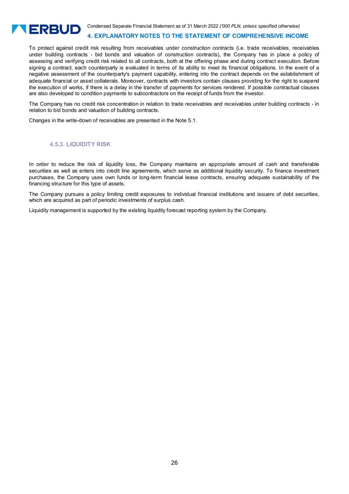

Condensed Separate Financial Statement as of 31 March 2022 *('000 PLN, unless specified otherwise)*

### **4. EXPLANATORY NOTES TO THE STATEMENT OF COMPREHENSIVE INCOME**

To protect against credit risk resulting from receivables under construction contracts (i.e. trade receivables, receivables under building contracts - bid bonds and valuation of construction contracts), the Company has in place a policy of assessing and verifying credit risk related to all contracts, both at the offering phase and during contract execution. Before signing a contract, each counterparty is evaluated in terms of its ability to meet its financial obligations. In the event of a negative assessment of the counterparty's payment capability, entering into the contract depends on the establishment of adequate financial or asset collaterals. Moreover, contracts with investors contain clauses providing for the right to suspend the execution of works, if there is a delay in the transfer of payments for services rendered. If possible contractual clauses are also developed to condition payments to subcontractors on the receipt of funds from the investor.

The Company has no credit risk concentration in relation to trade receivables and receivables under building contracts - in relation to bid bonds and valuation of building contracts.

Changes in the write-down of receivables are presented in the Note 5.1.

# **4.5.3. LIQUIDITY RISK**

In order to reduce the risk of liquidity loss, the Company maintains an appropriate amount of cash and transferable securities as well as enters into credit line agreements, which serve as additional liquidity security. To finance investment purchases, the Company uses own funds or long-term financial lease contracts, ensuring adequate sustainability of the financing structure for this type of assets.

The Company pursues a policy limiting credit exposures to individual financial institutions and issuers of debt securities, which are acquired as part of periodic investments of surplus cash.

Liquidity management is supported by the existing liquidity forecast reporting system by the Company.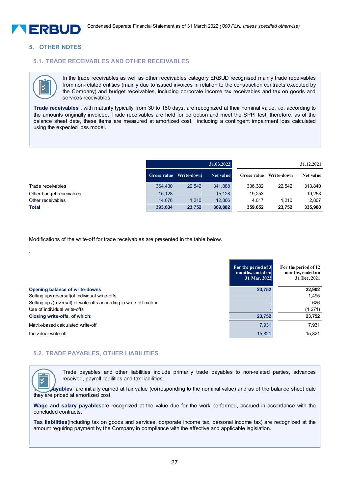

### **5. OTHER NOTES**

# **5.1. TRADE RECEIVABLES AND OTHER RECEIVABLES**



.

I

In the trade receivables as well as other receivables category ERBUD recognised mainly trade receivables from non-related entities (mainly due to issued invoices in relation to the construction contracts executed by the Company) and budget receivables, including corporate income tax receivables and tax on goods and services receivables.

**Trade receivables** , with maturity typically from 30 to 180 days, are recognized at their nominal value, i.e. according to the amounts originally invoiced. Trade receivables are held for collection and meet the SPPI test, therefore, as of the balance sheet date, these items are measured at amortized cost, including a contingent impairment loss calculated using the expected loss model.

|                          | 31.03.2022 |                        |           | 31.12.2021         |                          |           |
|--------------------------|------------|------------------------|-----------|--------------------|--------------------------|-----------|
|                          |            | Gross value Write-down | Net value | <b>Gross</b> value | Write-down               | Net value |
| Trade receivables        | 364,430    | 22.542                 | 341.888   | 336.382            | 22.542                   | 313.840   |
| Other budget receivables | 15.128     | $\sim$                 | 15.128    | 19,253             | $\overline{\phantom{a}}$ | 19.253    |
| Other receivables        | 14.076     | 1.210                  | 12.866    | 4.017              | 1.210                    | 2.807     |
| <b>Total</b>             | 393.634    | 23.752                 | 369,882   | 359.652            | 23,752                   | 335,900   |

Modifications of the write-off for trade receivables are presented in the table below.

|                                                                    | For the period of 3<br>months, ended on<br>31 Mar. 2022 | For the period of 12<br>months, ended on<br>31 Dec. 2021 |
|--------------------------------------------------------------------|---------------------------------------------------------|----------------------------------------------------------|
| Opening balance of write-downs                                     | 23,752                                                  | 22,902                                                   |
| Setting up/(reversal) of individual write-offs                     |                                                         | 1,495                                                    |
| Setting up /(reversal) of write-offs according to write-off matrix |                                                         | 626                                                      |
| Use of individual write-offs                                       |                                                         | (1,271)                                                  |
| Closing write-offs, of which:                                      | 23,752                                                  | 23,752                                                   |
| Matrix-based calculated write-off                                  | 7,931                                                   | 7,931                                                    |
| Individual write-off                                               | 15,821                                                  | 15,821                                                   |

### **5.2. TRADE PAYABLES, OTHER LIABILITIES**

Trade payables and other liabilities include primarily trade payables to non-related parties, advances received, payroll liabilities and tax liabilities.

**Trade payables** are initially carried at fair value (corresponding to the nominal value) and as of the balance sheet date they are priced at amortized cost.

**Wage and salary payables**are recognized at the value due for the work performed, accrued in accordance with the concluded contracts.

**Tax liabilities**(including tax on goods and services, corporate income tax, personal income tax) are recognized at the amount requiring payment by the Company in compliance with the effective and applicable legislation.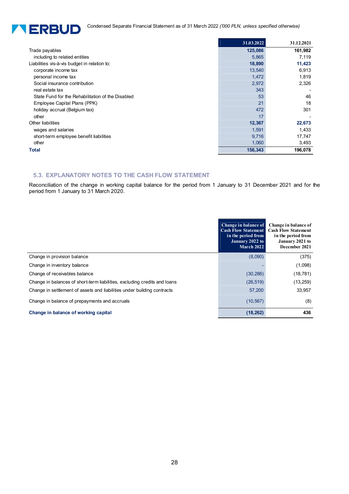Condensed Separate Financial Statement as of 31 March 2022 *('000 PLN, unless specified otherwise)* 



|                                                   | 31.03.2022 | 31.12.2021 |
|---------------------------------------------------|------------|------------|
| Trade payables                                    | 125,086    | 161,982    |
| including to related entities                     | 5,865      | 7,119      |
| Liabilities vis-à-vis budget in relation to:      | 18,890     | 11,423     |
| corporate income tax                              | 13,540     | 6,913      |
| personal income tax                               | 1,472      | 1,819      |
| Social insurance contribution                     | 2,972      | 2,326      |
| real estate tax                                   | 343        |            |
| State Fund for the Rehabilitation of the Disabled | 53         | 46         |
| Employee Capital Plans (PPK)                      | 21         | 18         |
| holiday accrual (Belgium tax)                     | 472        | 301        |
| other                                             | 17         |            |
| Other liabilities                                 | 12,367     | 22,673     |
| wages and salaries                                | 1,591      | 1,433      |
| short-term employee benefit liabilities           | 9,716      | 17,747     |
| other                                             | 1,060      | 3,493      |
| <b>Total</b>                                      | 156,343    | 196,078    |

# **5.3. EXPLANATORY NOTES TO THE CASH FLOW STATEMENT**

Reconciliation of the change in working capital balance for the period from 1 January to 31 December 2021 and for the period from 1 January to 31 March 2020.

|                                                                           | Change in balance of<br><b>Cash Flow Statement</b><br>in the period from<br>January 2022 to<br><b>March 2022</b> | Change in balance of<br><b>Cash Flow Statement</b><br>in the period from<br>January 2021 to<br>December 2021 |
|---------------------------------------------------------------------------|------------------------------------------------------------------------------------------------------------------|--------------------------------------------------------------------------------------------------------------|
| Change in provision balance                                               | (8,090)                                                                                                          | (375)                                                                                                        |
| Change in inventory balance                                               |                                                                                                                  | (1,098)                                                                                                      |
| Change of receivables balance                                             | (30, 286)                                                                                                        | (18, 781)                                                                                                    |
| Change in balances of short-term liabilities, excluding credits and loans | (26, 519)                                                                                                        | (13,259)                                                                                                     |
| Change in settlement of assets and liabilities under building contracts   | 57,200                                                                                                           | 33,957                                                                                                       |
| Change in balance of prepayments and accruals                             | (10, 567)                                                                                                        | (8)                                                                                                          |
| Change in balance of working capital                                      | (18, 262)                                                                                                        | 436                                                                                                          |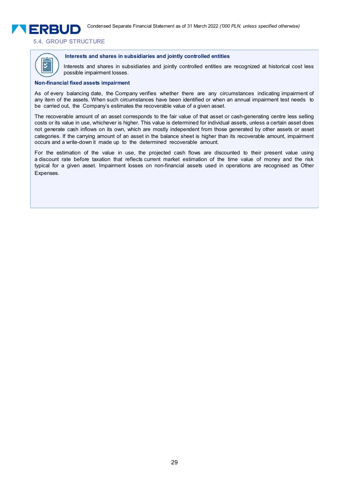**5.4. GROUP STRUCTURE** 



**ERRUD** 

### **Interests and shares in subsidiaries and jointly controlled entities**

Interests and shares in subsidiaries and jointly controlled entities are recognized at historical cost less possible impairment losses.

### **Non-financial fixed assets impairment**

As of every balancing date, the Company verifies whether there are any circumstances indicating impairment of any item of the assets. When such circumstances have been identified or when an annual impairment test needs to be carried out, the Company's estimates the recoverable value of a given asset.

The recoverable amount of an asset corresponds to the fair value of that asset or cash-generating centre less selling costs or its value in use, whichever is higher. This value is determined for individual assets, unless a certain asset does not generate cash inflows on its own, which are mostly independent from those generated by other assets or asset categories. If the carrying amount of an asset in the balance sheet is higher than its recoverable amount, impairment occurs and a write-down it made up to the determined recoverable amount.

For the estimation of the value in use, the projected cash flows are discounted to their present value using a discount rate before taxation that reflects current market estimation of the time value of money and the risk typical for a given asset. Impairment losses on non-financial assets used in operations are recognised as Other Expenses.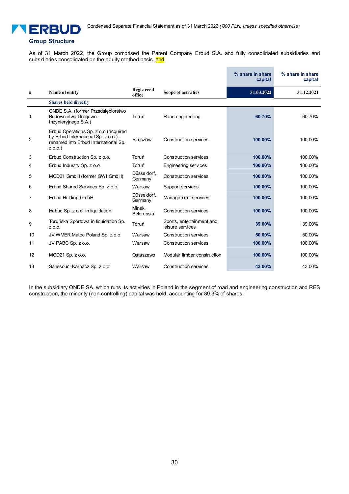

# **Group Structure**

As of 31 March 2022, the Group comprised the Parent Company Erbud S.A. and fully consolidated subsidiaries and subsidiaries consolidated on the equity method basis. and

|                |                                                                                                                                    |                        |                                               | % share in share<br>capital | % share in share<br>capital |
|----------------|------------------------------------------------------------------------------------------------------------------------------------|------------------------|-----------------------------------------------|-----------------------------|-----------------------------|
| #              | Name of entity                                                                                                                     | Registered<br>office   | Scope of activities                           | 31.03.2022                  | 31.12.2021                  |
|                | <b>Shares held directly</b>                                                                                                        |                        |                                               |                             |                             |
| 1              | ONDE S.A. (former Przedsiębiorstwo<br>Budownictwa Drogowo -<br>Inżynieryjnego S.A.)                                                | Toruń                  | Road engineering                              | 60.70%                      | 60.70%                      |
| $\overline{2}$ | Erbud Operations Sp. z o.o. (acquired<br>by Erbud International Sp. z o.o.) -<br>renamed into Erbud International Sp.<br>$Z$ 0.0.) | Rzeszów                | Construction services                         | 100.00%                     | 100.00%                     |
| 3              | Erbud Construction Sp. z o.o.                                                                                                      | Toruń                  | Construction services                         | 100.00%                     | 100.00%                     |
| 4              | Erbud Industry Sp. z o.o.                                                                                                          | Toruń                  | Engineering services                          | 100.00%                     | 100.00%                     |
| 5              | MOD21 GmbH (former GWI GmbH)                                                                                                       | Düsseldorf,<br>Germany | <b>Construction services</b>                  | 100.00%                     | 100.00%                     |
| 6              | Erbud Shared Services Sp. z o.o.                                                                                                   | Warsaw                 | Support services                              | 100.00%                     | 100.00%                     |
| 7              | Erbud Holding GmbH                                                                                                                 | Düsseldorf.<br>Germany | Management services                           | 100.00%                     | 100.00%                     |
| 8              | Hebud Sp. z o.o. in liquidation                                                                                                    | Minsk,<br>Belorussia   | <b>Construction services</b>                  | 100.00%                     | 100.00%                     |
| 9              | Toruńska Sportowa in liquidation Sp.<br>Z 0.0.                                                                                     | Toruń                  | Sports, entertainment and<br>leisure services | 39.00%                      | 39.00%                      |
| 10             | JV WMER Matoc Poland Sp. z o.o.                                                                                                    | Warsaw                 | Construction services                         | 50.00%                      | 50.00%                      |
| 11             | JV PABC Sp. z o.o.                                                                                                                 | Warsaw                 | Construction services                         | 100.00%                     | 100.00%                     |
| 12             | MOD21 Sp. z o.o.                                                                                                                   | Ostaszewo              | Modular timber construction                   | 100.00%                     | 100.00%                     |
| 13             | Sanssouci Karpacz Sp. z o.o.                                                                                                       | Warsaw                 | Construction services                         | 43.00%                      | 43.00%                      |

In the subsidiary ONDE SA, which runs its activities in Poland in the segment of road and engineering construction and RES construction, the minority (non-controlling) capital was held, accounting for 39.3% of shares.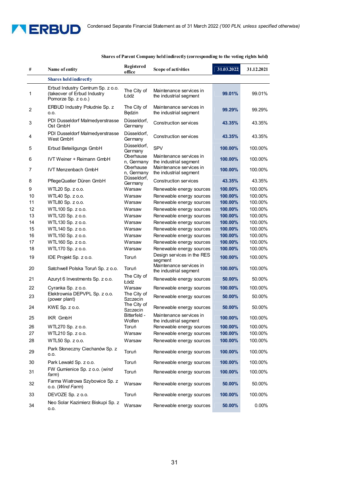

o.o.

### **# Name of entity Registered Scope of activities** 31.03.2022 31.12.2021 **Shares held indirectly**  1 Erbud Industry Centrum Sp. z o.o. (takeover of Erbud Industry Pomorze Sp. z o.o.) The City of Łódź Maintenance services in Individual segment **99.01%** 99.01% 2 ERBUD Industry Południe Sp. z o.o. The City of Będzin Maintenance services in Indirium industrial segment<br>the industrial segment 3 PDI Dusseldorf Malmedyerstrasse Ost GmbH Düsseldorf, Germany Construction services **43.35%** 43.35% <sup>4</sup>PDI Dusseldorf Malmedyerstrasse West GmbH Düsseldorf,<br>Germany Construction services **43.35%** 43.35% 5 Erbud Beteiligungs GmbH Düsseldorf, Experience of SPV<br>Germany **100.00%** 100.00%<br>Oberhause Maintenance services in the second that the second 6 IVT Weiner + Reimann GmbH n, Germany Maintenance services in the industrial segment **100.00%** 100.00% 7 IVT Menzenbach GmbH Oberhause n, Germany<br>Düsseldorf. Maintenance services in the industrial segment **100.00%** 100.00% 8 PflegeQuatier Düren GmbH Dusseldor<br>Germany Germany Construction services **43.35%** 43.35% 9 WTL20 Sp. z o.o. **100.000 Warsaw** Renewable energy sources 10 WTL40 Sp. z o.o. Warsaw Renewable energy sources **100.00%** 100.00% 11 WTL80 Sp. z o.o. Warsaw Renewable energy sources **100.00%** 100.00% 12 WTL100 Sp. z o.o. Warsaw Renewable energy sources **100.00%** 100.00% 13 WTL120 Sp. z o.o. Warsaw Renewable energy sources **100.00%** 100.00% 14 WTL130 Sp. z o.o. Warsaw Renewable energy sources **100.00%** 100.00% 15 WTL140 Sp. z o.o. Warsaw Renewable energy sources **100.00%** 100.00% 16 WTL150 Sp. z o.o. Warsaw Renewable energy sources **100.00%** 100.00% 17 WTL160 Sp. z o.o. Warsaw Renewable energy sources **100.00%** 100.00% 18 WTL170 Sp. z o.o. Warsaw Renewable energy sources **100.00%** 100.00% 19 IDE Projekt Sp. z o.o. Toruń Design s Design services in the RES **100.00%** 100.00% 20 Satchwell Polska Toruń Sp. z o.o. Toruń Maintenance services in the industrial segment **100.00%** 100.00% 21 Azuryt 6 Investments Sp. z o.o. The City of Renewable energy sources **50.00%** 50.00% 22 Cyranka Sp. z o.o. Warsaw Renewable energy sources **100.00%** 100.00% <sup>23</sup>Elektrownia DEPVPL Sp. z o.o. (power plant) The City of Szczecin Renewable energy sources **50.00%** 50.00%<br>The City of Benevies and The City of Benevies **50.00%** 50.00% 24 KWE Sp. z o.o. The City of the City of the City of the City of the City of the City of the City of the City of the City of the City of the City of the City of the City of the City of the City of the City of the City of Renewable energy sources **50.00%** 50.00% 25 IKR GmbH Bitterfeld -**Wolfen** Maintenance services in waintenance services in **100.00%** 100.00%<br>the industrial segment **100.00%** 100.00% 26 WTL270 Sp. z o.o. **100.000 Toruń** Renewable energy sources 27 WTL210 Sp. z o.o. Warsaw Renewable energy sources **100.00%** 100.00% 28 WTL50 Sp. z o.o. Warsaw Renewable energy sources **100.00%** 100.00% 29 Park Słoneczny Ciechanów Sp. z<br>0.0. Toruń Renewable energy sources **100.00%** 100.00% 30 Park Lewałd Sp. z o.o. Toruń Renewable energy sources **100.00%** 100.00% <sup>31</sup>FW Gumienice Sp. z o.o. (*wind farm*) Toruń Renewable energy sources **100.00%** 100.00% 32 Farma Wiatrowa Szybowice Sp. z<br>0.0. (Wind Farm) o.o. (*Wind Farm*) Warsaw Renewable energy sources **50.00%** 50.00% 33 DEVOZE Sp. z o.o. Toruń Renewable energy sources **100.00%** 100.00% 34 Neo Solar Kazimierz Biskupi Sp. z

### **Shares of Parent Company held indirectly (corresponding to the voting rights held)**

31

Warsaw Renewable energy sources **50.00%** 0.00%